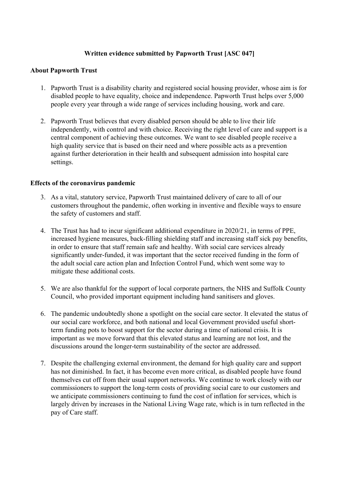## **Written evidence submitted by Papworth Trust [ASC 047]**

### **About Papworth Trust**

- 1. Papworth Trust is a disability charity and registered social housing provider, whose aim is for disabled people to have equality, choice and independence. Papworth Trust helps over 5,000 people every year through a wide range of services including housing, work and care.
- 2. Papworth Trust believes that every disabled person should be able to live their life independently, with control and with choice. Receiving the right level of care and support is a central component of achieving these outcomes. We want to see disabled people receive a high quality service that is based on their need and where possible acts as a prevention against further deterioration in their health and subsequent admission into hospital care settings.

#### **Effects of the coronavirus pandemic**

- 3. As a vital, statutory service, Papworth Trust maintained delivery of care to all of our customers throughout the pandemic, often working in inventive and flexible ways to ensure the safety of customers and staff.
- 4. The Trust has had to incur significant additional expenditure in 2020/21, in terms of PPE, increased hygiene measures, back-filling shielding staff and increasing staff sick pay benefits, in order to ensure that staff remain safe and healthy. With social care services already significantly under-funded, it was important that the sector received funding in the form of the adult social care action plan and Infection Control Fund, which went some way to mitigate these additional costs.
- 5. We are also thankful for the support of local corporate partners, the NHS and Suffolk County Council, who provided important equipment including hand sanitisers and gloves.
- 6. The pandemic undoubtedly shone a spotlight on the social care sector. It elevated the status of our social care workforce, and both national and local Government provided useful shortterm funding pots to boost support for the sector during a time of national crisis. It is important as we move forward that this elevated status and learning are not lost, and the discussions around the longer-term sustainability of the sector are addressed.
- 7. Despite the challenging external environment, the demand for high quality care and support has not diminished. In fact, it has become even more critical, as disabled people have found themselves cut off from their usual support networks. We continue to work closely with our commissioners to support the long-term costs of providing social care to our customers and we anticipate commissioners continuing to fund the cost of inflation for services, which is largely driven by increases in the National Living Wage rate, which is in turn reflected in the pay of Care staff.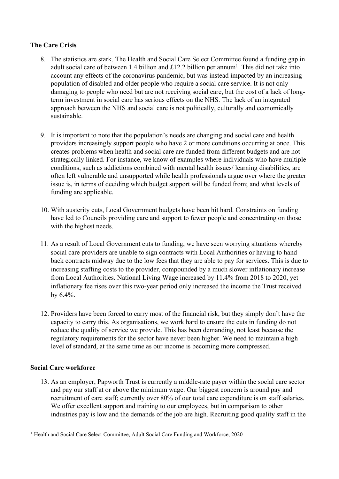## **The Care Crisis**

- 8. The statistics are stark. The Health and Social Care Select Committee found a funding gap in adult social care of between 1.4 billion and £12.2 billion per annum<sup>1</sup>. This did not take into account any effects of the coronavirus pandemic, but was instead impacted by an increasing population of disabled and older people who require a social care service. It is not only damaging to people who need but are not receiving social care, but the cost of a lack of longterm investment in social care has serious effects on the NHS. The lack of an integrated approach between the NHS and social care is not politically, culturally and economically sustainable.
- 9. It is important to note that the population's needs are changing and social care and health providers increasingly support people who have 2 or more conditions occurring at once. This creates problems when health and social care are funded from different budgets and are not strategically linked. For instance, we know of examples where individuals who have multiple conditions, such as addictions combined with mental health issues/ learning disabilities, are often left vulnerable and unsupported while health professionals argue over where the greater issue is, in terms of deciding which budget support will be funded from; and what levels of funding are applicable.
- 10. With austerity cuts, Local Government budgets have been hit hard. Constraints on funding have led to Councils providing care and support to fewer people and concentrating on those with the highest needs.
- 11. As a result of Local Government cuts to funding, we have seen worrying situations whereby social care providers are unable to sign contracts with Local Authorities or having to hand back contracts midway due to the low fees that they are able to pay for services. This is due to increasing staffing costs to the provider, compounded by a much slower inflationary increase from Local Authorities. National Living Wage increased by 11.4% from 2018 to 2020, yet inflationary fee rises over this two-year period only increased the income the Trust received by 6.4%.
- 12. Providers have been forced to carry most of the financial risk, but they simply don't have the capacity to carry this. As organisations, we work hard to ensure the cuts in funding do not reduce the quality of service we provide. This has been demanding, not least because the regulatory requirements for the sector have never been higher. We need to maintain a high level of standard, at the same time as our income is becoming more compressed.

# **Social Care workforce**

13. As an employer, Papworth Trust is currently a middle-rate payer within the social care sector and pay our staff at or above the minimum wage. Our biggest concern is around pay and recruitment of care staff; currently over 80% of our total care expenditure is on staff salaries. We offer excellent support and training to our employees, but in comparison to other industries pay is low and the demands of the job are high. Recruiting good quality staff in the

<sup>&</sup>lt;sup>1</sup> Health and Social Care Select Committee, Adult Social Care Funding and Workforce, 2020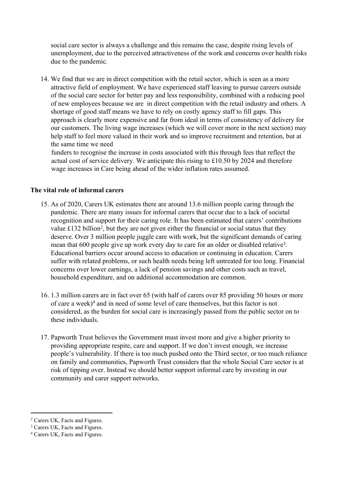social care sector is always a challenge and this remains the case, despite rising levels of unemployment, due to the perceived attractiveness of the work and concerns over health risks due to the pandemic.

14. We find that we are in direct competition with the retail sector, which is seen as a more attractive field of employment. We have experienced staff leaving to pursue careers outside of the social care sector for better pay and less responsibility, combined with a reducing pool of new employees because we are in direct competition with the retail industry and others. A shortage of good staff means we have to rely on costly agency staff to fill gaps. This approach is clearly more expensive and far from ideal in terms of consistency of delivery for our customers. The living wage increases (which we will cover more in the next section) may help staff to feel more valued in their work and so improve recruitment and retention, but at the same time we need

funders to recognise the increase in costs associated with this through fees that reflect the actual cost of service delivery. We anticipate this rising to £10.50 by 2024 and therefore wage increases in Care being ahead of the wider inflation rates assumed.

### **The vital role of informal carers**

- 15. As of 2020, Carers UK estimates there are around 13.6 million people caring through the pandemic. There are many issues for informal carers that occur due to a lack of societal recognition and support for their caring role. It has been estimated that carers' contributions value £132 billion<sup>2</sup>, but they are not given either the financial or social status that they deserve. Over 3 million people juggle care with work, but the significant demands of caring mean that 600 people give up work every day to care for an older or disabled relative<sup>3</sup>. Educational barriers occur around access to education or continuing in education. Carers suffer with related problems, or such health needs being left untreated for too long. Financial concerns over lower earnings, a lack of pension savings and other costs such as travel, household expenditure, and on additional accommodation are common.
- 16. 1.3 million carers are in fact over 65 (with half of carers over 85 providing 50 hours or more of care a week)<sup>4</sup> and in need of some level of care themselves, but this factor is not considered, as the burden for social care is increasingly passed from the public sector on to these individuals.
- 17. Papworth Trust believes the Government must invest more and give a higher priority to providing appropriate respite, care and support. If we don't invest enough, we increase people's vulnerability. If there is too much pushed onto the Third sector, or too much reliance on family and communities, Papworth Trust considers that the whole Social Care sector is at risk of tipping over. Instead we should better support informal care by investing in our community and carer support networks.

<sup>2</sup> Carers UK, Facts and Figures.

<sup>&</sup>lt;sup>3</sup> Carers UK, Facts and Figures.

<sup>4</sup> Carers UK, Facts and Figures.